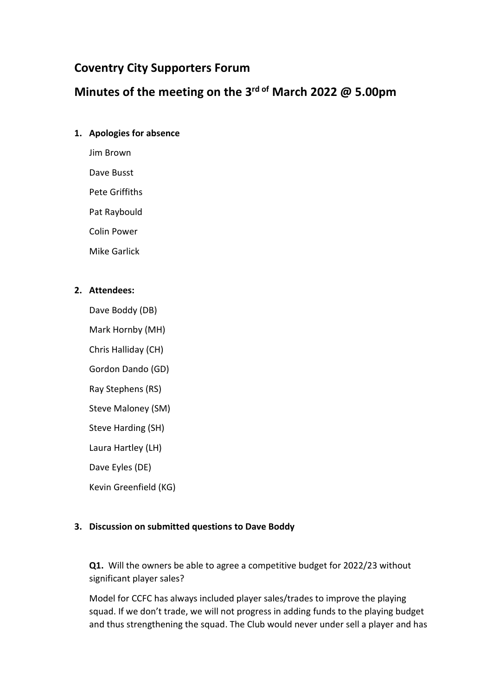# **Coventry City Supporters Forum**

# **Minutes of the meeting on the 3 rd of March 2022 @ 5.00pm**

#### **1. Apologies for absence**

Jim Brown

Dave Busst

Pete Griffiths

Pat Raybould

Colin Power

Mike Garlick

#### **2. Attendees:**

Dave Boddy (DB)

Mark Hornby (MH)

Chris Halliday (CH)

Gordon Dando (GD)

Ray Stephens (RS)

Steve Maloney (SM)

Steve Harding (SH)

Laura Hartley (LH)

Dave Eyles (DE)

Kevin Greenfield (KG)

# **3. Discussion on submitted questions to Dave Boddy**

**Q1.** Will the owners be able to agree a competitive budget for 2022/23 without significant player sales?

Model for CCFC has always included player sales/trades to improve the playing squad. If we don't trade, we will not progress in adding funds to the playing budget and thus strengthening the squad. The Club would never under sell a player and has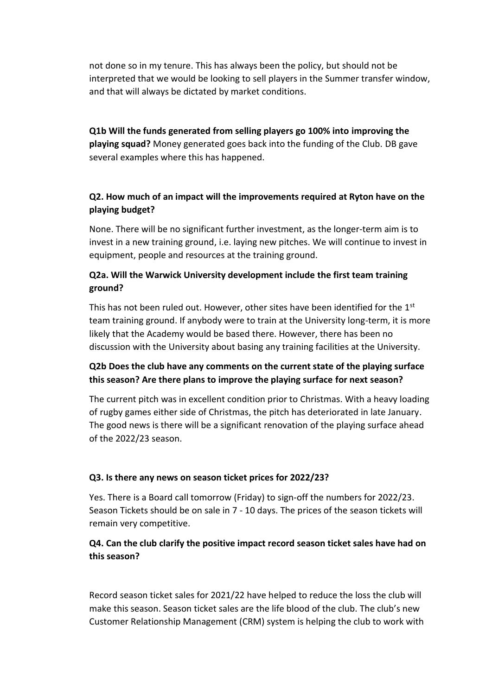not done so in my tenure. This has always been the policy, but should not be interpreted that we would be looking to sell players in the Summer transfer window, and that will always be dictated by market conditions.

**Q1b Will the funds generated from selling players go 100% into improving the playing squad?** Money generated goes back into the funding of the Club. DB gave several examples where this has happened.

# **Q2. How much of an impact will the improvements required at Ryton have on the playing budget?**

None. There will be no significant further investment, as the longer-term aim is to invest in a new training ground, i.e. laying new pitches. We will continue to invest in equipment, people and resources at the training ground.

#### **Q2a. Will the Warwick University development include the first team training ground?**

This has not been ruled out. However, other sites have been identified for the  $1<sup>st</sup>$ team training ground. If anybody were to train at the University long-term, it is more likely that the Academy would be based there. However, there has been no discussion with the University about basing any training facilities at the University.

# **Q2b Does the club have any comments on the current state of the playing surface this season? Are there plans to improve the playing surface for next season?**

The current pitch was in excellent condition prior to Christmas. With a heavy loading of rugby games either side of Christmas, the pitch has deteriorated in late January. The good news is there will be a significant renovation of the playing surface ahead of the 2022/23 season.

#### **Q3. Is there any news on season ticket prices for 2022/23?**

Yes. There is a Board call tomorrow (Friday) to sign-off the numbers for 2022/23. Season Tickets should be on sale in 7 - 10 days. The prices of the season tickets will remain very competitive.

#### **Q4. Can the club clarify the positive impact record season ticket sales have had on this season?**

Record season ticket sales for 2021/22 have helped to reduce the loss the club will make this season. Season ticket sales are the life blood of the club. The club's new Customer Relationship Management (CRM) system is helping the club to work with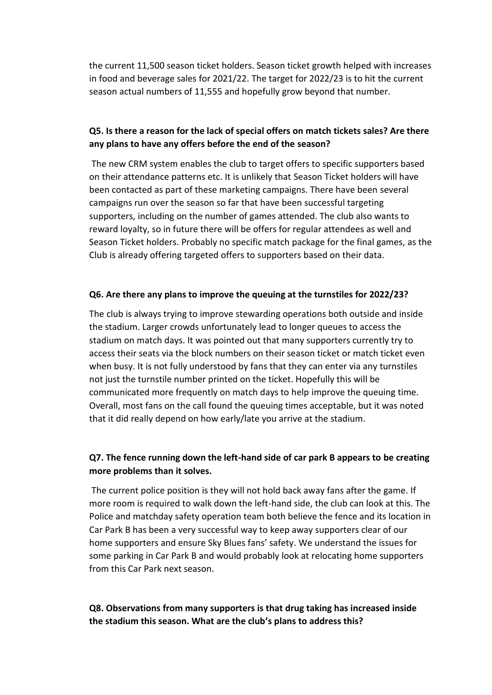the current 11,500 season ticket holders. Season ticket growth helped with increases in food and beverage sales for 2021/22. The target for 2022/23 is to hit the current season actual numbers of 11,555 and hopefully grow beyond that number.

# **Q5. Is there a reason for the lack of special offers on match tickets sales? Are there any plans to have any offers before the end of the season?**

The new CRM system enables the club to target offers to specific supporters based on their attendance patterns etc. It is unlikely that Season Ticket holders will have been contacted as part of these marketing campaigns. There have been several campaigns run over the season so far that have been successful targeting supporters, including on the number of games attended. The club also wants to reward loyalty, so in future there will be offers for regular attendees as well and Season Ticket holders. Probably no specific match package for the final games, as the Club is already offering targeted offers to supporters based on their data.

#### **Q6. Are there any plans to improve the queuing at the turnstiles for 2022/23?**

The club is always trying to improve stewarding operations both outside and inside the stadium. Larger crowds unfortunately lead to longer queues to access the stadium on match days. It was pointed out that many supporters currently try to access their seats via the block numbers on their season ticket or match ticket even when busy. It is not fully understood by fans that they can enter via any turnstiles not just the turnstile number printed on the ticket. Hopefully this will be communicated more frequently on match days to help improve the queuing time. Overall, most fans on the call found the queuing times acceptable, but it was noted that it did really depend on how early/late you arrive at the stadium.

# **Q7. The fence running down the left-hand side of car park B appears to be creating more problems than it solves.**

The current police position is they will not hold back away fans after the game. If more room is required to walk down the left-hand side, the club can look at this. The Police and matchday safety operation team both believe the fence and its location in Car Park B has been a very successful way to keep away supporters clear of our home supporters and ensure Sky Blues fans' safety. We understand the issues for some parking in Car Park B and would probably look at relocating home supporters from this Car Park next season.

#### **Q8. Observations from many supporters is that drug taking has increased inside the stadium this season. What are the club's plans to address this?**